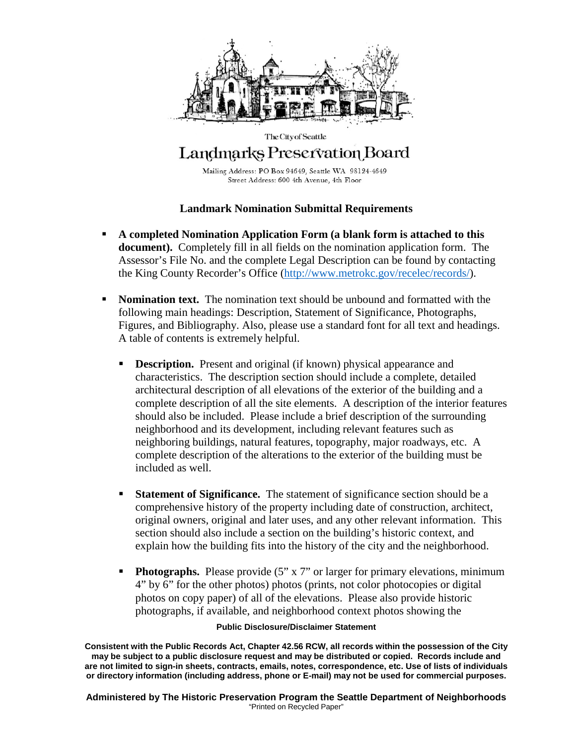

## The City of Seattle Landmarks Preservation Board

Mailing Address: PO Box 94649, Seattle WA 98124-4649 Street Address: 600 4th Avenue, 4th Floor

### **Landmark Nomination Submittal Requirements**

- **A completed Nomination Application Form (a blank form is attached to this document).** Completely fill in all fields on the nomination application form. The Assessor's File No. and the complete Legal Description can be found by contacting the King County Recorder's Office [\(http://www.metrokc.gov/recelec/records/\)](http://www.metrokc.gov/recelec/records/).
- **Nomination text.** The nomination text should be unbound and formatted with the following main headings: Description, Statement of Significance, Photographs, Figures, and Bibliography. Also, please use a standard font for all text and headings. A table of contents is extremely helpful.
	- **Description.** Present and original (if known) physical appearance and characteristics. The description section should include a complete, detailed architectural description of all elevations of the exterior of the building and a complete description of all the site elements. A description of the interior features should also be included. Please include a brief description of the surrounding neighborhood and its development, including relevant features such as neighboring buildings, natural features, topography, major roadways, etc. A complete description of the alterations to the exterior of the building must be included as well.
	- **Statement of Significance.** The statement of significance section should be a comprehensive history of the property including date of construction, architect, original owners, original and later uses, and any other relevant information. This section should also include a section on the building's historic context, and explain how the building fits into the history of the city and the neighborhood.
	- **Photographs.** Please provide (5" x 7" or larger for primary elevations, minimum 4" by 6" for the other photos) photos (prints, not color photocopies or digital photos on copy paper) of all of the elevations. Please also provide historic photographs, if available, and neighborhood context photos showing the

#### **Public Disclosure/Disclaimer Statement**

**Consistent with the Public Records Act, Chapter 42.56 RCW, all records within the possession of the City may be subject to a public disclosure request and may be distributed or copied. Records include and are not limited to sign-in sheets, contracts, emails, notes, correspondence, etc. Use of lists of individuals or directory information (including address, phone or E-mail) may not be used for commercial purposes.**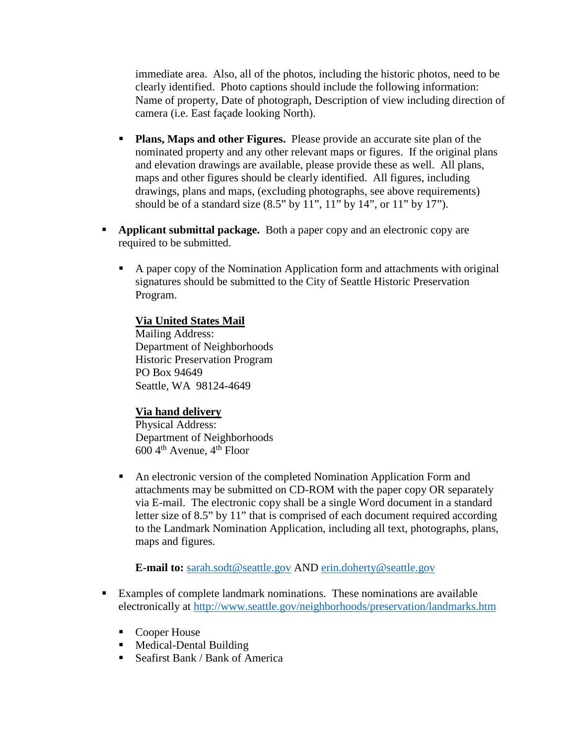immediate area. Also, all of the photos, including the historic photos, need to be clearly identified. Photo captions should include the following information: Name of property, Date of photograph, Description of view including direction of camera (i.e. East façade looking North).

- **Plans, Maps and other Figures.** Please provide an accurate site plan of the nominated property and any other relevant maps or figures. If the original plans and elevation drawings are available, please provide these as well. All plans, maps and other figures should be clearly identified. All figures, including drawings, plans and maps, (excluding photographs, see above requirements) should be of a standard size  $(8.5"$  by  $11"$ ,  $11"$  by  $14"$ , or  $11"$  by  $17"$ ).
- **Applicant submittal package.** Both a paper copy and an electronic copy are required to be submitted.
	- A paper copy of the Nomination Application form and attachments with original signatures should be submitted to the City of Seattle Historic Preservation Program.

#### **Via United States Mail**

Mailing Address: Department of Neighborhoods Historic Preservation Program PO Box 94649 Seattle, WA 98124-4649

#### **Via hand delivery**

Physical Address: Department of Neighborhoods  $600\,4<sup>th</sup>$  Avenue,  $4<sup>th</sup>$  Floor

 An electronic version of the completed Nomination Application Form and attachments may be submitted on CD-ROM with the paper copy OR separately via E-mail. The electronic copy shall be a single Word document in a standard letter size of 8.5" by 11" that is comprised of each document required according to the Landmark Nomination Application, including all text, photographs, plans, maps and figures.

**E-mail to:** [sarah.sodt@seattle.gov](mailto:sarah.sodt@seattle.gov) AND [erin.doherty@seattle.gov](mailto:erin.doherty@seattle.gov)

- Examples of complete landmark nominations. These nominations are available electronically at<http://www.seattle.gov/neighborhoods/preservation/landmarks.htm>
	- Cooper House
	- Medical-Dental Building
	- Seafirst Bank / Bank of America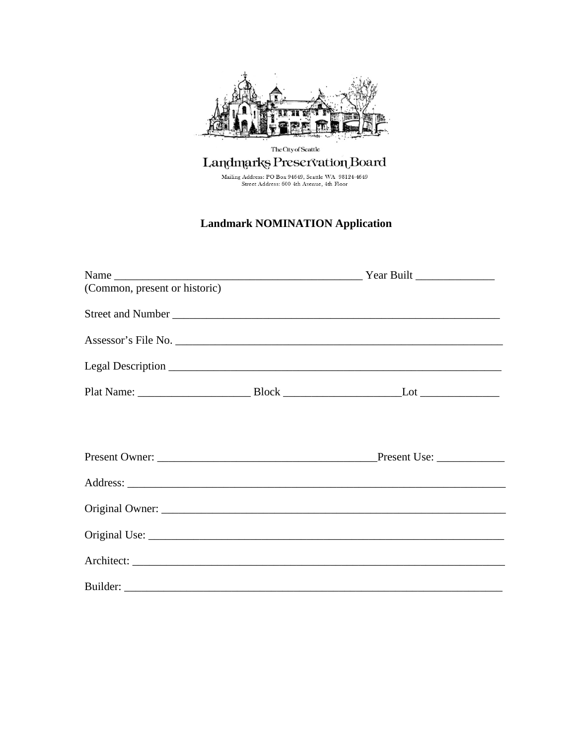

# The City of Seattle Landmarks Preservation Board

Mailing Address: PO Box 94649, Seattle WA 98124-4649<br>Street Address: 600 4th Avenue, 4th Floor

## **Landmark NOMINATION Application**

| (Common, present or historic) |  |                                                                                                               |  |
|-------------------------------|--|---------------------------------------------------------------------------------------------------------------|--|
|                               |  |                                                                                                               |  |
|                               |  |                                                                                                               |  |
|                               |  |                                                                                                               |  |
|                               |  |                                                                                                               |  |
|                               |  |                                                                                                               |  |
|                               |  |                                                                                                               |  |
|                               |  |                                                                                                               |  |
|                               |  | Original Owner: 2007 - 2008 - 2008 - 2009 - 2010 - 2010 - 2010 - 2010 - 2010 - 2010 - 2010 - 2010 - 2010 - 20 |  |
|                               |  |                                                                                                               |  |
|                               |  |                                                                                                               |  |
|                               |  |                                                                                                               |  |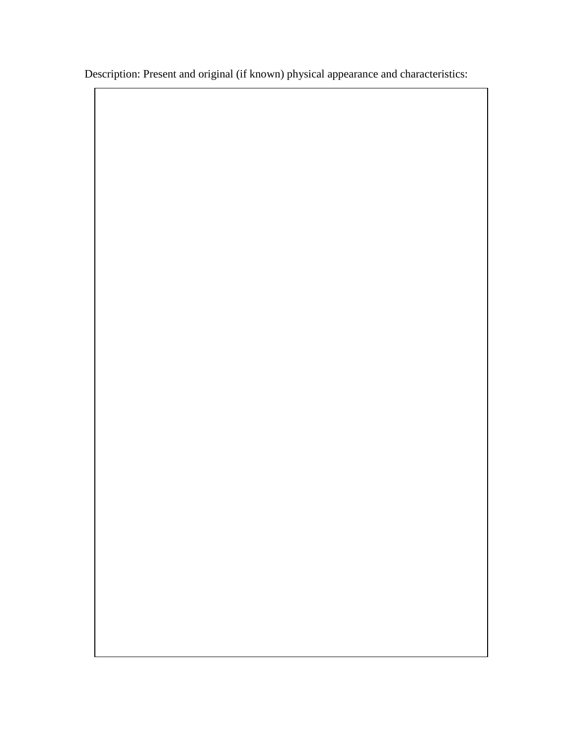Description: Present and original (if known) physical appearance and characteristics: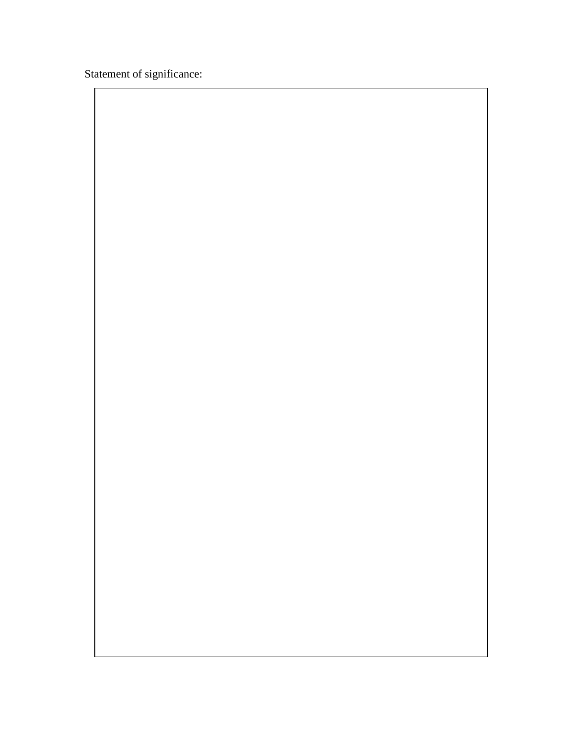Statement of significance: